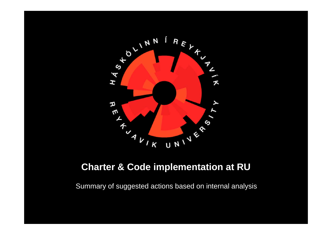

#### **Charter & Code implementation at RU**

Summary of suggested actions based on internal analysis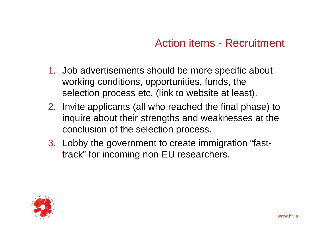## Action items - Recruitment

- 1. Job advertisements should be more specific about working conditions, opportunities, funds, the selection process etc. (link to website at least).
- 2. Invite applicants (all who reached the final phase) to inquire about their strengths and weaknesses at the conclusion of the selection process.
- 3. Lobby the government to create immigration "fasttrack" for incoming non-EU researchers.

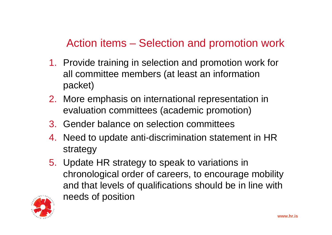# Action items – Selection and promotion work

- 1. Provide training in selection and promotion work for all committee members (at least an information packet)
- 2. More emphasis on international representation in evaluation committees (academic promotion)
- 3. Gender balance on selection committees
- 4. Need to update anti-discrimination statement in HR strategy
- 5. Update HR strategy to speak to variations in chronological order of careers, to encourage mobility and that levels of qualifications should be in line with needs of position

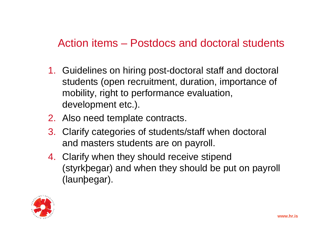#### Action items – Postdocs and doctoral students

- 1. Guidelines on hiring post-doctoral staff and doctoral students (open recruitment, duration, importance of mobility, right to performance evaluation, development etc.).
- 2. Also need template contracts.
- 3. Clarify categories of students/staff when doctoral and masters students are on payroll.
- 4. Clarify when they should receive stipend (styrkþegar) and when they should be put on payroll (launþegar).

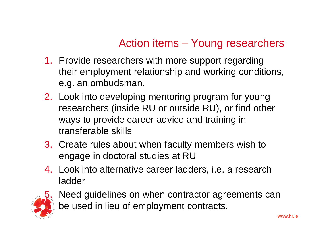## Action items – Young researchers

- 1. Provide researchers with more support regarding their employment relationship and working conditions, e.g. an ombudsman.
- 2. Look into developing mentoring program for young researchers (inside RU or outside RU), or find other ways to provide career advice and training in transferable skills
- 3. Create rules about when faculty members wish to engage in doctoral studies at RU
- 4. Look into alternative career ladders, i.e. a research ladder



Need guidelines on when contractor agreements can be used in lieu of employment contracts.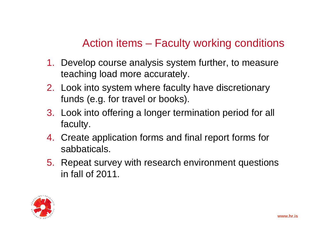# Action items – Faculty working conditions

- 1. Develop course analysis system further, to measure teaching load more accurately.
- 2. Look into system where faculty have discretionary funds (e.g. for travel or books).
- 3. Look into offering a longer termination period for all faculty.
- 4. Create application forms and final report forms for sabbaticals.
- 5. Repeat survey with research environment questions in fall of 2011.

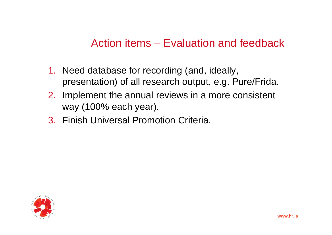## Action items – Evaluation and feedback

- 1. Need database for recording (and, ideally, presentation) of all research output, e.g. Pure/Frida.
- 2. Implement the annual reviews in a more consistent way (100% each year).
- 3. Finish Universal Promotion Criteria.

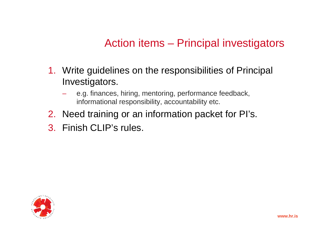# Action items – Principal investigators

- 1. Write guidelines on the responsibilities of Principal Investigators.
	- e.g. finances, hiring, mentoring, performance feedback, informational responsibility, accountability etc.
- 2. Need training or an information packet for PI's.
- 3. Finish CLIP's rules.

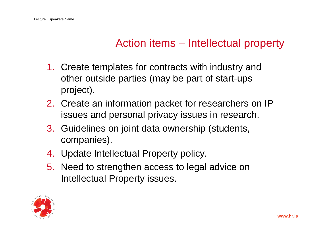#### Action items – Intellectual property

- 1. Create templates for contracts with industry and other outside parties (may be part of start-ups project).
- 2. Create an information packet for researchers on IP issues and personal privacy issues in research.
- 3. Guidelines on joint data ownership (students, companies).
- 4. Update Intellectual Property policy.
- 5. Need to strengthen access to legal advice on Intellectual Property issues.

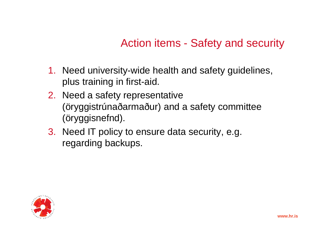# Action items - Safety and security

- 1. Need university-wide health and safety guidelines, plus training in first-aid.
- 2. Need a safety representative (öryggistrúnaðarmaður) and a safety committee (öryggisnefnd).
- 3. Need IT policy to ensure data security, e.g. regarding backups.